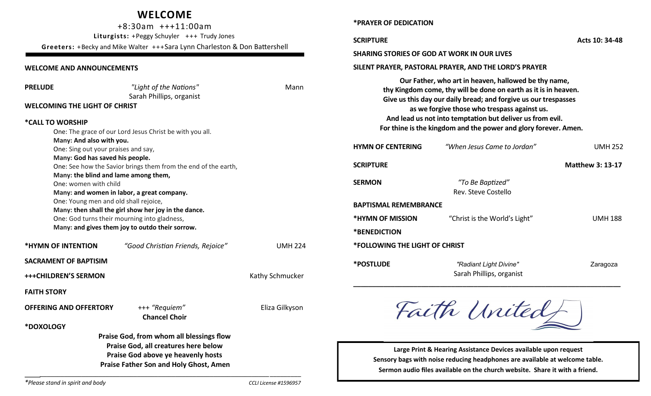## **WELCOME**

+8:30am +++11:00am **Liturgists:** +Peggy Schuyler +++ Trudy Jones **Greeters:** +Becky and Mike Walter +++Sara Lynn Charleston & Don Battershell

**Praise Father Son and Holy Ghost, Amen** *\_\_\_\_\_\_\_\_\_\_\_\_\_\_\_\_\_\_\_\_\_\_\_\_\_\_\_\_\_\_\_\_\_\_\_\_\_\_\_\_\_\_\_\_\_\_\_\_\_\_\_\_\_\_\_\_\_\_\_\_\_\_\_\_\_\_*\_\_\_\_\_\_\_\_\_

## **WELCOME AND ANNOUNCEMENTS**

| <b>PRELUDE</b><br>"Light of the Nations"<br>Mann<br>Sarah Phillips, organist<br><b>WELCOMING THE LIGHT OF CHRIST</b>                                    |                                          |                                | Our Father, who art in heaven, hallowed be thy name,<br>thy Kingdom come, thy will be done on earth as it is in heaven.<br>Give us this day our daily bread; and forgive us our trespasses<br>as we forgive those who trespass against us. |                                         |                         |
|---------------------------------------------------------------------------------------------------------------------------------------------------------|------------------------------------------|--------------------------------|--------------------------------------------------------------------------------------------------------------------------------------------------------------------------------------------------------------------------------------------|-----------------------------------------|-------------------------|
| *CALL TO WORSHIP                                                                                                                                        |                                          |                                | And lead us not into temptation but deliver us from evil.                                                                                                                                                                                  |                                         |                         |
| One: The grace of our Lord Jesus Christ be with you all.                                                                                                |                                          |                                | For thine is the kingdom and the power and glory forever. Amen.                                                                                                                                                                            |                                         |                         |
| Many: And also with you.<br>One: Sing out your praises and say,                                                                                         |                                          |                                | <b>HYMN OF CENTERING</b>                                                                                                                                                                                                                   | "When Jesus Came to Jordan"             | <b>UMH 252</b>          |
| Many: God has saved his people.<br>One: See how the Savior brings them from the end of the earth,                                                       |                                          |                                | <b>SCRIPTURE</b>                                                                                                                                                                                                                           |                                         | <b>Matthew 3: 13-17</b> |
| Many: the blind and lame among them,<br>One: women with child<br>Many: and women in labor, a great company.                                             |                                          |                                | <b>SERMON</b>                                                                                                                                                                                                                              | "To Be Baptized"<br>Rev. Steve Costello |                         |
| One: Young men and old shall rejoice,                                                                                                                   |                                          |                                | <b>BAPTISMAL REMEMBRANCE</b>                                                                                                                                                                                                               |                                         |                         |
| Many: then shall the girl show her joy in the dance.<br>One: God turns their mourning into gladness,<br>Many: and gives them joy to outdo their sorrow. |                                          |                                | *HYMN OF MISSION                                                                                                                                                                                                                           | "Christ is the World's Light"           | <b>UMH 188</b>          |
|                                                                                                                                                         |                                          |                                | *BENEDICTION                                                                                                                                                                                                                               |                                         |                         |
| *HYMN OF INTENTION<br>"Good Christian Friends, Rejoice"<br><b>UMH 224</b>                                                                               |                                          | *FOLLOWING THE LIGHT OF CHRIST |                                                                                                                                                                                                                                            |                                         |                         |
|                                                                                                                                                         |                                          |                                |                                                                                                                                                                                                                                            |                                         |                         |
| <b>SACRAMENT OF BAPTISIM</b>                                                                                                                            |                                          |                                | *POSTLUDE                                                                                                                                                                                                                                  | "Radiant Light Divine"                  | Zaragoza                |
| <b>+++CHILDREN'S SERMON</b>                                                                                                                             |                                          | Kathy Schmucker                |                                                                                                                                                                                                                                            | Sarah Phillips, organist                |                         |
| <b>FAITH STORY</b>                                                                                                                                      |                                          |                                |                                                                                                                                                                                                                                            |                                         |                         |
| <b>OFFERING AND OFFERTORY</b>                                                                                                                           | +++ "Requiem"<br><b>Chancel Choir</b>    | Eliza Gilkyson                 |                                                                                                                                                                                                                                            | Faith United                            |                         |
| *DOXOLOGY                                                                                                                                               |                                          |                                |                                                                                                                                                                                                                                            |                                         |                         |
|                                                                                                                                                         | Praise God, from whom all blessings flow |                                |                                                                                                                                                                                                                                            |                                         |                         |
| Praise God, all creatures here below<br>Praise God above ye heavenly hosts                                                                              |                                          |                                | Large Print & Hearing Assistance Devices available upon request<br>Concory hage with noise reducing headphones are available at welcome table                                                                                              |                                         |                         |

**\*PRAYER OF DEDICATION** 

**SCRIPTURE Acts 10: 34-48 SHARING STORIES OF GOD AT WORK IN OUR LIVES SILENT PRAYER, PASTORAL PRAYER, AND THE LORD'S PRAYER Our Father, who art in heaven, hallowed be thy name,**  gdom come, thy will be done on earth as it is in heaven. this day our daily bread; and forgive us our trespasses  **as we forgive those who trespass against us. ad us not into temptation but deliver us from evil.** *<b>e* is the kingdom and the power and glory forever. Amen. **HYMN OF CENTERING** *"When Jesus Came to Jordan"*UMH 252 **SCRIPTURE Matthew 3: 13-17 SERMON** *"To Be Baptized"*  Rev. Steve Costello **IEMBRANCE FION** "Christ is the World's Light" UMH 188 **\*BENEDICTION E LIGHT OF CHRIST \*POSTLUDE** *"Radiant Light Divine"* Zaragoza Sarah Phillips, organist

Faith United

**Large Print & Hearing Assistance Devices available upon request Sensory bags with noise reducing headphones are available at welcome table. Sermon audio files available on the church website. Share it with a friend.**